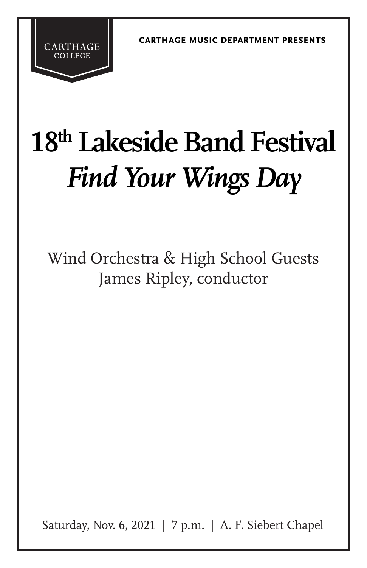**carthage music department presents**

# **18th Lakeside Band Festival** *Find Your Wings Day*

**CARTHAGE** 

Wind Orchestra & High School Guests James Ripley, conductor

Saturday, Nov. 6, 2021 | 7 p.m. | A. F. Siebert Chapel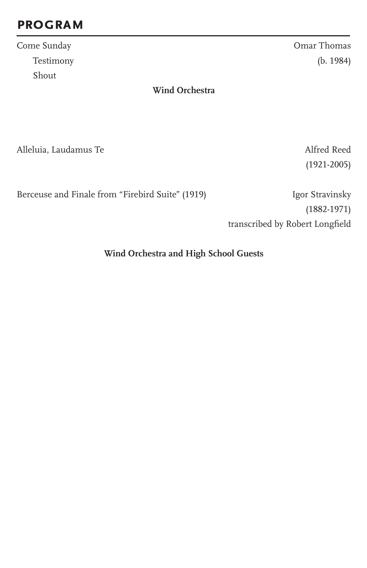## **program**

Come Sunday Omar Thomas Shout

Testimony (b. 1984)

**Wind Orchestra**

Alleluia, Laudamus Te

(1921-2005)

Berceuse and Finale from "Firebird Suite" (1919) Igor Stravinsky

(1882-1971) transcribed by Robert Longfield

**Wind Orchestra and High School Guests**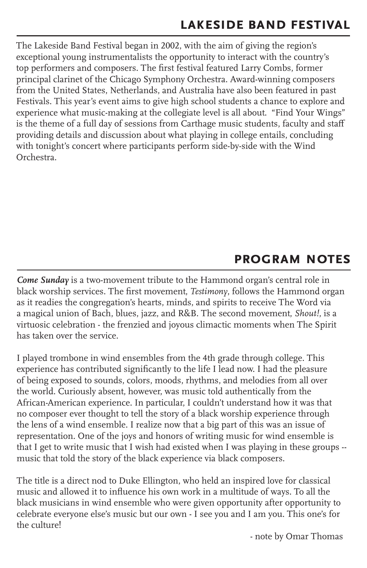The Lakeside Band Festival began in 2002, with the aim of giving the region's exceptional young instrumentalists the opportunity to interact with the country's top performers and composers. The first festival featured Larry Combs, former principal clarinet of the Chicago Symphony Orchestra. Award-winning composers from the United States, Netherlands, and Australia have also been featured in past Festivals. This year's event aims to give high school students a chance to explore and experience what music-making at the collegiate level is all about. "Find Your Wings" is the theme of a full day of sessions from Carthage music students, faculty and staff providing details and discussion about what playing in college entails, concluding with tonight's concert where participants perform side-by-side with the Wind Orchestra.

## **program notes**

*Come Sunday* is a two-movement tribute to the Hammond organ's central role in black worship services. The first movement, *Testimony*, follows the Hammond organ as it readies the congregation's hearts, minds, and spirits to receive The Word via a magical union of Bach, blues, jazz, and R&B. The second movement, *Shout!*, is a virtuosic celebration - the frenzied and joyous climactic moments when The Spirit has taken over the service.

I played trombone in wind ensembles from the 4th grade through college. This experience has contributed significantly to the life I lead now. I had the pleasure of being exposed to sounds, colors, moods, rhythms, and melodies from all over the world. Curiously absent, however, was music told authentically from the African-American experience. In particular, I couldn't understand how it was that no composer ever thought to tell the story of a black worship experience through the lens of a wind ensemble. I realize now that a big part of this was an issue of representation. One of the joys and honors of writing music for wind ensemble is that I get to write music that I wish had existed when I was playing in these groups - music that told the story of the black experience via black composers.

The title is a direct nod to Duke Ellington, who held an inspired love for classical music and allowed it to influence his own work in a multitude of ways. To all the black musicians in wind ensemble who were given opportunity after opportunity to celebrate everyone else's music but our own - I see you and I am you. This one's for the culture!

- note by Omar Thomas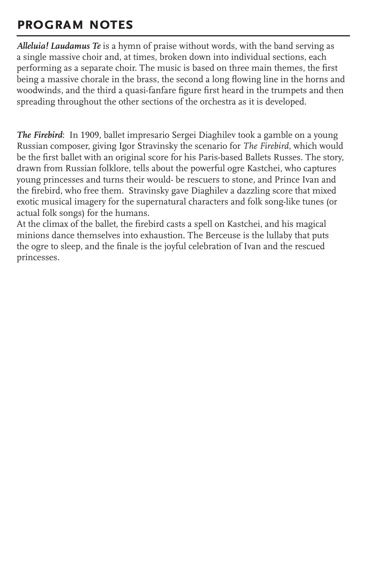## **program notes**

*Alleluia! Laudamus Te* is a hymn of praise without words, with the band serving as a single massive choir and, at times, broken down into individual sections, each performing as a separate choir. The music is based on three main themes, the first being a massive chorale in the brass, the second a long flowing line in the horns and woodwinds, and the third a quasi-fanfare figure first heard in the trumpets and then spreading throughout the other sections of the orchestra as it is developed.

*The Firebird*: In 1909, ballet impresario Sergei Diaghilev took a gamble on a young Russian composer, giving Igor Stravinsky the scenario for *The Firebird*, which would be the first ballet with an original score for his Paris-based Ballets Russes. The story, drawn from Russian folklore, tells about the powerful ogre Kastchei, who captures young princesses and turns their would- be rescuers to stone, and Prince Ivan and the firebird, who free them. Stravinsky gave Diaghilev a dazzling score that mixed exotic musical imagery for the supernatural characters and folk song-like tunes (or actual folk songs) for the humans.

At the climax of the ballet, the firebird casts a spell on Kastchei, and his magical minions dance themselves into exhaustion. The Berceuse is the lullaby that puts the ogre to sleep, and the finale is the joyful celebration of Ivan and the rescued princesses.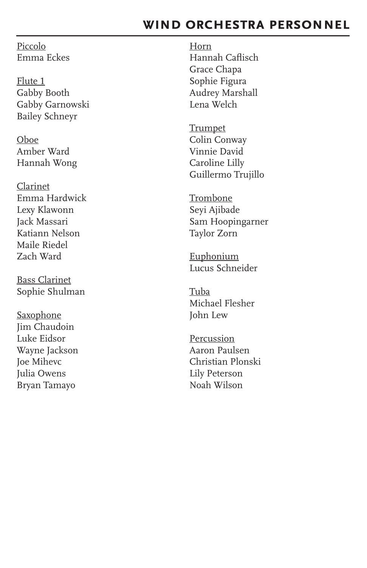### **wind orchestra personnel**

Piccolo Emma Eckes

Flute 1 Gabby Booth Gabby Garnowski Bailey Schneyr

Oboe Amber Ward Hannah Wong

Clarinet Emma Hardwick Lexy Klawonn Jack Massari Katiann Nelson Maile Riedel Zach Ward

Bass Clarinet Sophie Shulman

**Saxophone** Jim Chaudoin Luke Eidsor Wayne Jackson Joe Mihevc Julia Owens Bryan Tamayo

Horn Hannah Caflisch Grace Chapa Sophie Figura Audrey Marshall Lena Welch

**Trumpet** Colin Conway Vinnie David Caroline Lilly Guillermo Trujillo

Trombone Seyi Ajibade Sam Hoopingarner Taylor Zorn

Euphonium Lucus Schneider

Tuba Michael Flesher John Lew

Percussion Aaron Paulsen Christian Plonski Lily Peterson Noah Wilson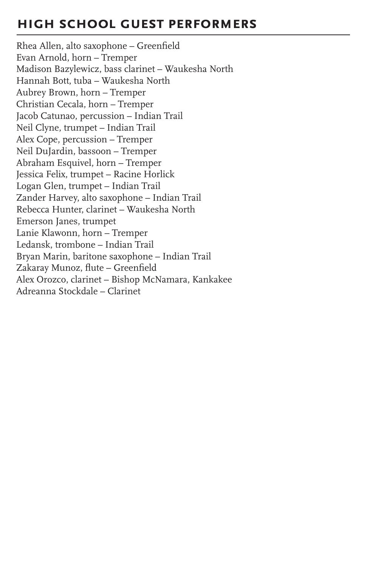## **high school guest performers**

Rhea Allen, alto saxophone – Greenfield Evan Arnold, horn – Tremper Madison Bazylewicz, bass clarinet – Waukesha North Hannah Bott, tuba – Waukesha North Aubrey Brown, horn – Tremper Christian Cecala, horn – Tremper Jacob Catunao, percussion – Indian Trail Neil Clyne, trumpet – Indian Trail Alex Cope, percussion – Tremper Neil DuJardin, bassoon – Tremper Abraham Esquivel, horn – Tremper Jessica Felix, trumpet – Racine Horlick Logan Glen, trumpet – Indian Trail Zander Harvey, alto saxophone – Indian Trail Rebecca Hunter, clarinet – Waukesha North Emerson Janes, trumpet Lanie Klawonn, horn – Tremper Ledansk, trombone – Indian Trail Bryan Marin, baritone saxophone – Indian Trail Zakaray Munoz, flute – Greenfield Alex Orozco, clarinet – Bishop McNamara, Kankakee Adreanna Stockdale – Clarinet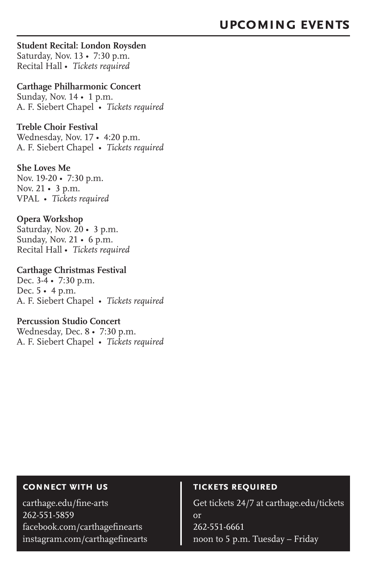#### **Student Recital: London Roysden**

Saturday, Nov. 13 • 7:30 p.m. Recital Hall • *Tickets required*

#### **Carthage Philharmonic Concert**

Sunday, Nov. 14 • 1 p.m. A. F. Siebert Chapel • *Tickets required*

#### **Treble Choir Festival**

Wednesday, Nov. 17 • 4:20 p.m. A. F. Siebert Chapel • *Tickets required*

#### **She Loves Me**

Nov. 19-20 • 7:30 p.m. Nov. 21 • 3 p.m. VPAL • *Tickets required*

#### **Opera Workshop**

Saturday, Nov. 20 • 3 p.m. Sunday, Nov. 21 • 6 p.m. Recital Hall • *Tickets required*

#### **Carthage Christmas Festival** Dec. 3-4 • 7:30 p.m.

Dec. 5 • 4 p.m. A. F. Siebert Chapel • *Tickets required*

#### **Percussion Studio Concert**

Wednesday, Dec. 8 • 7:30 p.m. A. F. Siebert Chapel • *Tickets required*

#### **connect with us**

carthage.edu/fine-arts 262-551-5859 facebook.com/carthagefinearts instagram.com/carthagefinearts

#### **tickets required**

Get tickets 24/7 at carthage.edu/tickets or 262-551-6661 noon to 5 p.m. Tuesday – Friday